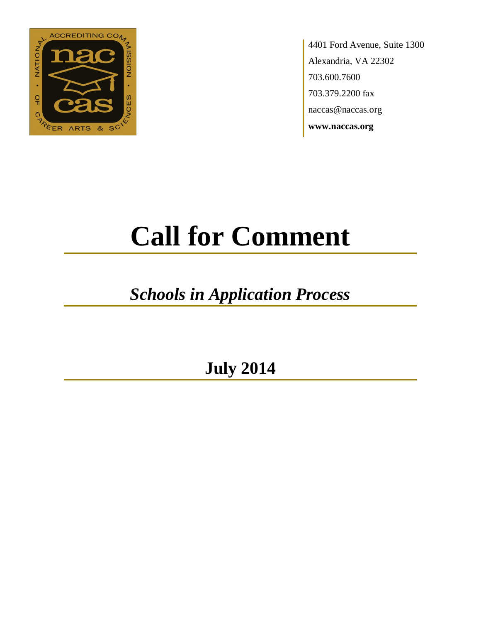

4401 Ford Avenue, Suite 1300 Alexandria, VA 22302 703.600.7600 703.379.2200 fax naccas@naccas.org **www.naccas.org**

# **Call for Comment**

## *Schools in Application Process*

**July 2014**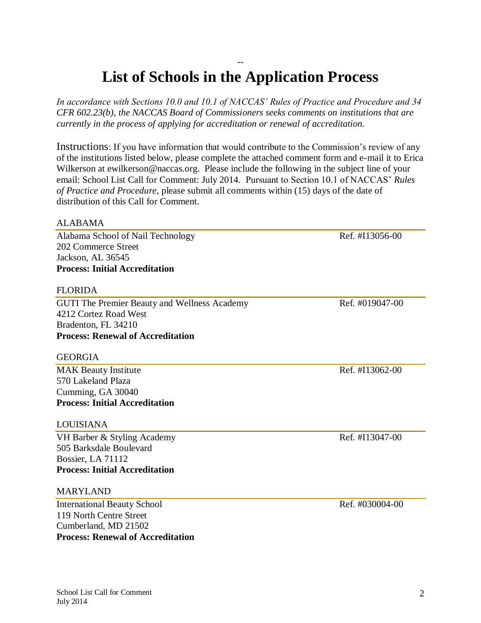### -- **List of Schools in the Application Process**

*In accordance with Sections 10.0 and 10.1 of NACCAS' Rules of Practice and Procedure and 34 CFR 602.23(b), the NACCAS Board of Commissioners seeks comments on institutions that are currently in the process of applying for accreditation or renewal of accreditation.*

Instructions: If you have information that would contribute to the Commission's review of any of the institutions listed below, please complete the attached comment form and e-mail it to Erica Wilkerson at ewilkerson@naccas.org. Please include the following in the subject line of your email: School List Call for Comment: July 2014. Pursuant to Section 10.1 of NACCAS' *Rules of Practice and Procedure*, please submit all comments within (15) days of the date of distribution of this Call for Comment.

#### ALABAMA

Alabama School of Nail Technology Ref. #I13056-00 202 Commerce Street Jackson, AL 36545 **Process: Initial Accreditation**

#### FLORIDA

GUTI The Premier Beauty and Wellness Academy Ref. #019047-00 4212 Cortez Road West Bradenton, FL 34210 **Process: Renewal of Accreditation**

#### **GEORGIA**

MAK Beauty Institute Ref. #I13062-00 570 Lakeland Plaza Cumming, GA 30040 **Process: Initial Accreditation**

#### LOUISIANA

VH Barber & Styling Academy Ref. #I13047-00 505 Barksdale Boulevard Bossier, LA 71112 **Process: Initial Accreditation**

#### MARYLAND

International Beauty School Ref. #030004-00 119 North Centre Street Cumberland, MD 21502 **Process: Renewal of Accreditation**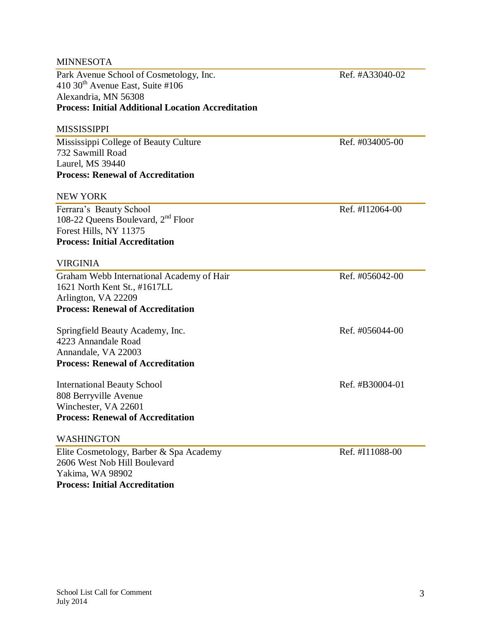| <b>MINNESOTA</b>                                          |                 |
|-----------------------------------------------------------|-----------------|
| Park Avenue School of Cosmetology, Inc.                   | Ref. #A33040-02 |
| 410 30 <sup>th</sup> Avenue East, Suite #106              |                 |
| Alexandria, MN 56308                                      |                 |
| <b>Process: Initial Additional Location Accreditation</b> |                 |
| <b>MISSISSIPPI</b>                                        |                 |
| Mississippi College of Beauty Culture                     | Ref. #034005-00 |
| 732 Sawmill Road                                          |                 |
| Laurel, MS 39440                                          |                 |
| <b>Process: Renewal of Accreditation</b>                  |                 |
| <b>NEW YORK</b>                                           |                 |
| Ferrara's Beauty School                                   | Ref. #I12064-00 |
| 108-22 Queens Boulevard, 2 <sup>nd</sup> Floor            |                 |
| Forest Hills, NY 11375                                    |                 |
| <b>Process: Initial Accreditation</b>                     |                 |
| <b>VIRGINIA</b>                                           |                 |
| Graham Webb International Academy of Hair                 | Ref. #056042-00 |
| 1621 North Kent St., #1617LL                              |                 |
| Arlington, VA 22209                                       |                 |
| <b>Process: Renewal of Accreditation</b>                  |                 |
| Springfield Beauty Academy, Inc.                          | Ref. #056044-00 |
| 4223 Annandale Road                                       |                 |
| Annandale, VA 22003                                       |                 |
| <b>Process: Renewal of Accreditation</b>                  |                 |
| <b>International Beauty School</b>                        | Ref. #B30004-01 |
| 808 Berryville Avenue                                     |                 |
| Winchester, VA 22601                                      |                 |
| <b>Process: Renewal of Accreditation</b>                  |                 |
| WASHINGTON                                                |                 |
| Elite Cosmetology, Barber & Spa Academy                   | Ref. #I11088-00 |
| 2606 West Nob Hill Boulevard                              |                 |
| Yakima, WA 98902                                          |                 |

**Process: Initial Accreditation**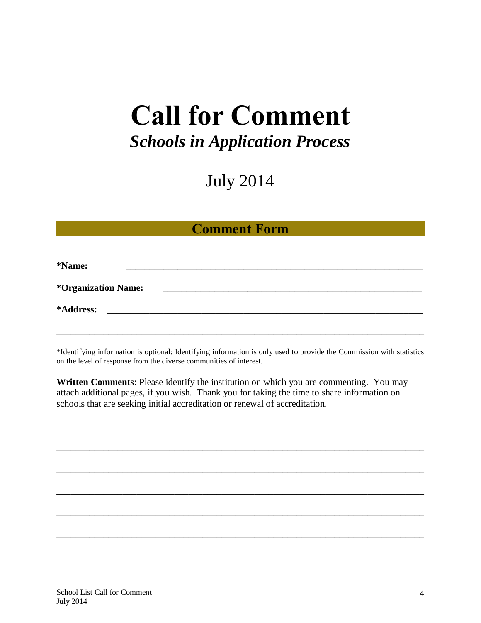# **Call for Comment**

## *Schools in Application Process*

## July 2014

### **Comment Form**

| *Name:                            |  |  |  |
|-----------------------------------|--|--|--|
| <i><b>*Organization Name:</b></i> |  |  |  |
| *Address:                         |  |  |  |
|                                   |  |  |  |

\*Identifying information is optional: Identifying information is only used to provide the Commission with statistics on the level of response from the diverse communities of interest.

**Written Comments**: Please identify the institution on which you are commenting. You may attach additional pages, if you wish. Thank you for taking the time to share information on schools that are seeking initial accreditation or renewal of accreditation.

\_\_\_\_\_\_\_\_\_\_\_\_\_\_\_\_\_\_\_\_\_\_\_\_\_\_\_\_\_\_\_\_\_\_\_\_\_\_\_\_\_\_\_\_\_\_\_\_\_\_\_\_\_\_\_\_\_\_\_\_\_\_\_\_\_\_\_\_\_\_\_\_\_\_\_\_\_\_

\_\_\_\_\_\_\_\_\_\_\_\_\_\_\_\_\_\_\_\_\_\_\_\_\_\_\_\_\_\_\_\_\_\_\_\_\_\_\_\_\_\_\_\_\_\_\_\_\_\_\_\_\_\_\_\_\_\_\_\_\_\_\_\_\_\_\_\_\_\_\_\_\_\_\_\_\_\_

\_\_\_\_\_\_\_\_\_\_\_\_\_\_\_\_\_\_\_\_\_\_\_\_\_\_\_\_\_\_\_\_\_\_\_\_\_\_\_\_\_\_\_\_\_\_\_\_\_\_\_\_\_\_\_\_\_\_\_\_\_\_\_\_\_\_\_\_\_\_\_\_\_\_\_\_\_\_

\_\_\_\_\_\_\_\_\_\_\_\_\_\_\_\_\_\_\_\_\_\_\_\_\_\_\_\_\_\_\_\_\_\_\_\_\_\_\_\_\_\_\_\_\_\_\_\_\_\_\_\_\_\_\_\_\_\_\_\_\_\_\_\_\_\_\_\_\_\_\_\_\_\_\_\_\_\_

\_\_\_\_\_\_\_\_\_\_\_\_\_\_\_\_\_\_\_\_\_\_\_\_\_\_\_\_\_\_\_\_\_\_\_\_\_\_\_\_\_\_\_\_\_\_\_\_\_\_\_\_\_\_\_\_\_\_\_\_\_\_\_\_\_\_\_\_\_\_\_\_\_\_\_\_\_\_

\_\_\_\_\_\_\_\_\_\_\_\_\_\_\_\_\_\_\_\_\_\_\_\_\_\_\_\_\_\_\_\_\_\_\_\_\_\_\_\_\_\_\_\_\_\_\_\_\_\_\_\_\_\_\_\_\_\_\_\_\_\_\_\_\_\_\_\_\_\_\_\_\_\_\_\_\_\_